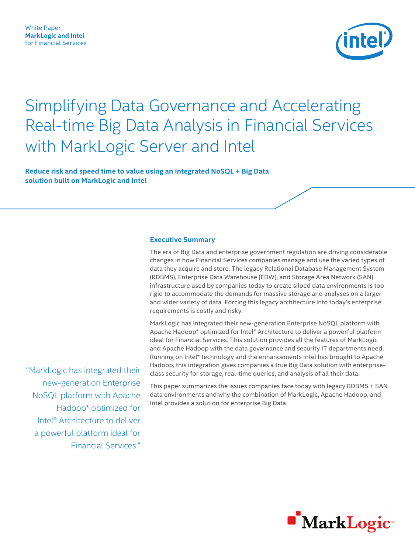

# Simplifying Data Governance and Accelerating Real-time Big Data Analysis in Financial Services with MarkLogic Server and Intel

**Reduce risk and speed time to value using an integrated NoSQL + Big Data solution built on MarkLogic and Intel**

#### **Executive Summary**

The era of Big Data and enterprise government regulation are driving considerable changes in how Financial Services companies manage and use the varied types of data they acquire and store. The legacy Relational Database Management System (RDBMS), Enterprise Data Warehouse (EDW), and Storage Area Network (SAN) infrastructure used by companies today to create siloed data environments is too rigid to accommodate the demands for massive storage and analyses on a larger and wider variety of data. Forcing this legacy architecture into today's enterprise requirements is costly and risky.

MarkLogic has integrated their new-generation Enterprise NoSQL platform with Apache Hadoop\* optimized for Intel® Architecture to deliver a powerful platform ideal for Financial Services. This solution provides all the features of MarkLogic and Apache Hadoop with the data governance and security IT departments need. Running on Intel® technology and the enhancements Intel has brought to Apache Hadoop, this integration gives companies a true Big Data solution with enterpriseclass security for storage, real-time queries, and analysis of all their data.

This paper summarizes the issues companies face today with legacy RDBMS + SAN data environments and why the combination of MarkLogic, Apache Hadoop, and Intel provides a solution for enterprise Big Data.

 "MarkLogic has integrated their new-generation Enterprise NoSQL platform with Apache Hadoop\* optimized for Intel® Architecture to deliver a powerful platform ideal for Financial Services."

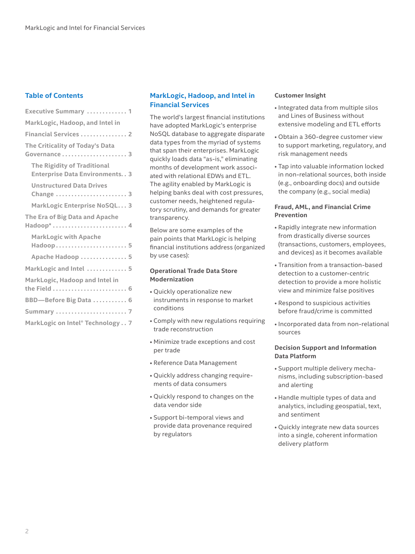## **Table of Contents**

| Executive Summary  1                                                           |
|--------------------------------------------------------------------------------|
| MarkLogic, Hadoop, and Intel in                                                |
| Financial Services  2                                                          |
| The Criticality of Today's Data<br>Governance  3                               |
| <b>The Rigidity of Traditional</b><br><b>Enterprise Data Environments. . 3</b> |
| <b>Unstructured Data Drives</b><br>Change  3                                   |
| MarkLogic Enterprise NoSQL 3                                                   |
| The Era of Big Data and Apache<br>Hadoop*  4                                   |
| <b>MarkLogic with Apache</b><br>Hadoop 5                                       |
| Apache Hadoop  5                                                               |
| MarkLogic and Intel  5                                                         |
| MarkLogic, Hadoop and Intel in                                                 |
| BBD-Before Big Data  6                                                         |
|                                                                                |
| MarkLogic on Intel® Technology 7                                               |

## **MarkLogic, Hadoop, and Intel in Financial Services**

The world's largest financial institutions have adopted MarkLogic's enterprise NoSQL database to aggregate disparate data types from the myriad of systems that span their enterprises. MarkLogic quickly loads data "as-is," eliminating months of development work associated with relational EDWs and ETL. The agility enabled by MarkLogic is helping banks deal with cost pressures, customer needs, heightened regulatory scrutiny, and demands for greater transparency.

Below are some examples of the pain points that MarkLogic is helping financial institutions address (organized by use cases):

### **Operational Trade Data Store Modernization**

- Quickly operationalize new instruments in response to market conditions
- Comply with new regulations requiring trade reconstruction
- Minimize trade exceptions and cost per trade
- Reference Data Management
- Quickly address changing requirements of data consumers
- Quickly respond to changes on the data vendor side
- Support bi-temporal views and provide data provenance required by regulators

#### **Customer Insight**

- Integrated data from multiple silos and Lines of Business without extensive modeling and ETL efforts
- Obtain a 360-degree customer view to support marketing, regulatory, and risk management needs
- Tap into valuable information locked in non-relational sources, both inside (e.g., onboarding docs) and outside the company (e.g., social media)

#### **Fraud, AML, and Financial Crime Prevention**

- Rapidly integrate new information from drastically diverse sources (transactions, customers, employees, and devices) as it becomes available
- Transition from a transaction-based detection to a customer-centric detection to provide a more holistic view and minimize false positives
- Respond to suspicious activities before fraud/crime is committed
- Incorporated data from non-relational sources

### **Decision Support and Information Data Platform**

- Support multiple delivery mechanisms, including subscription-based and alerting
- Handle multiple types of data and analytics, including geospatial, text, and sentiment
- Quickly integrate new data sources into a single, coherent information delivery platform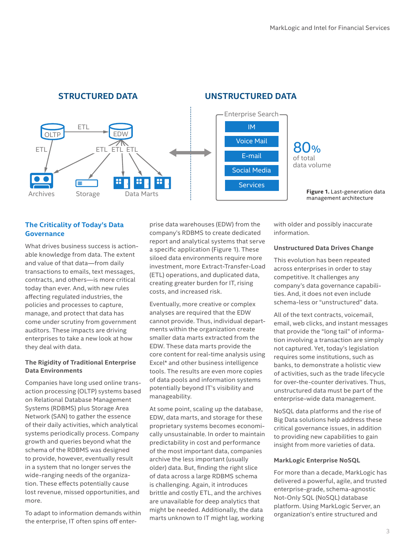

## **STRUCTURED DATA**

## **The Criticality of Today's Data Governance**

What drives business success is actionable knowledge from data. The extent and value of that data—from daily transactions to emails, text messages, contracts, and others—is more critical today than ever. And, with new rules affecting regulated industries, the policies and processes to capture, manage, and protect that data has come under scrutiny from government auditors. These impacts are driving enterprises to take a new look at how they deal with data.

## **The Rigidity of Traditional Enterprise Data Environments**

Companies have long used online transaction processing (OLTP) systems based on Relational Database Management Systems (RDBMS) plus Storage Area Network (SAN) to gather the essence of their daily activities, which analytical systems periodically process. Company growth and queries beyond what the schema of the RDBMS was designed to provide, however, eventually result in a system that no longer serves the wide-ranging needs of the organization. These effects potentially cause lost revenue, missed opportunities, and more.

To adapt to information demands within the enterprise, IT often spins off enterprise data warehouses (EDW) from the company's RDBMS to create dedicated report and analytical systems that serve a specific application (Figure 1). These siloed data environments require more investment, more Extract-Transfer-Load (ETL) operations, and duplicated data, creating greater burden for IT, rising costs, and increased risk.

Eventually, more creative or complex analyses are required that the EDW cannot provide. Thus, individual departments within the organization create smaller data marts extracted from the EDW. These data marts provide the core content for real-time analysis using Excel\* and other business intelligence tools. The results are even more copies of data pools and information systems potentially beyond IT's visibility and manageability.

At some point, scaling up the database, EDW, data marts, and storage for these proprietary systems becomes economically unsustainable. In order to maintain predictability in cost and performance of the most important data, companies archive the less important (usually older) data. But, finding the right slice of data across a large RDBMS schema is challenging. Again, it introduces brittle and costly ETL, and the archives are unavailable for deep analytics that might be needed. Additionally, the data marts unknown to IT might lag, working

with older and possibly inaccurate information.

### **Unstructured Data Drives Change**

This evolution has been repeated across enterprises in order to stay competitive. It challenges any company's data governance capabilities. And, it does not even include schema-less or "unstructured" data.

All of the text contracts, voicemail, email, web clicks, and instant messages that provide the "long tail" of information involving a transaction are simply not captured. Yet, today's legislation requires some institutions, such as banks, to demonstrate a holistic view of activities, such as the trade lifecycle for over-the-counter derivatives. Thus, unstructured data must be part of the enterprise-wide data management.

NoSQL data platforms and the rise of Big Data solutions help address these critical governance issues, in addition to providing new capabilities to gain insight from more varieties of data.

## **MarkLogic Enterprise NoSQL**

For more than a decade, MarkLogic has delivered a powerful, agile, and trusted enterprise-grade, schema-agnostic Not-Only SQL (NoSQL) database platform. Using MarkLogic Server, an organization's entire structured and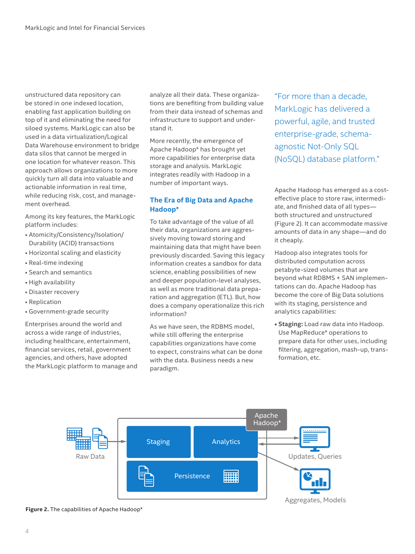unstructured data repository can be stored in one indexed location, enabling fast application building on top of it and eliminating the need for siloed systems. MarkLogic can also be used in a data virtualization/Logical Data Warehouse environment to bridge data silos that cannot be merged in one location for whatever reason. This approach allows organizations to more quickly turn all data into valuable and actionable information in real time, while reducing risk, cost, and management overhead.

Among its key features, the MarkLogic platform includes:

- Atomicity/Consistency/Isolation/ Durability (ACID) transactions
- Horizontal scaling and elasticity
- Real-time indexing
- Search and semantics
- High availability
- Disaster recovery
- Replication
- Government-grade security

Enterprises around the world and across a wide range of industries, including healthcare, entertainment, financial services, retail, government agencies, and others, have adopted the MarkLogic platform to manage and analyze all their data. These organizations are benefiting from building value from their data instead of schemas and infrastructure to support and understand it.

More recently, the emergence of Apache Hadoop\* has brought yet more capabilities for enterprise data storage and analysis. MarkLogic integrates readily with Hadoop in a number of important ways.

## **The Era of Big Data and Apache Hadoop\***

To take advantage of the value of all their data, organizations are aggressively moving toward storing and maintaining data that might have been previously discarded. Saving this legacy information creates a sandbox for data science, enabling possibilities of new and deeper population-level analyses, as well as more traditional data preparation and aggregation (ETL). But, how does a company operationalize this rich information?

As we have seen, the RDBMS model, while still offering the enterprise capabilities organizations have come to expect, constrains what can be done with the data. Business needs a new paradigm.

"For more than a decade, MarkLogic has delivered a powerful, agile, and trusted enterprise-grade, schemaagnostic Not-Only SQL (NoSQL) database platform."

Apache Hadoop has emerged as a costeffective place to store raw, intermediate, and finished data of all types both structured and unstructured (Figure 2). It can accommodate massive amounts of data in any shape—and do it cheaply.

Hadoop also integrates tools for distributed computation across petabyte-sized volumes that are beyond what RDBMS + SAN implementations can do. Apache Hadoop has become the core of Big Data solutions with its staging, persistence and analytics capabilities:

**• Staging:** Load raw data into Hadoop. Use MapReduce\* operations to prepare data for other uses, including filtering, aggregation, mash-up, transformation, etc.



**Figure 2.** The capabilities of Apache Hadoop\*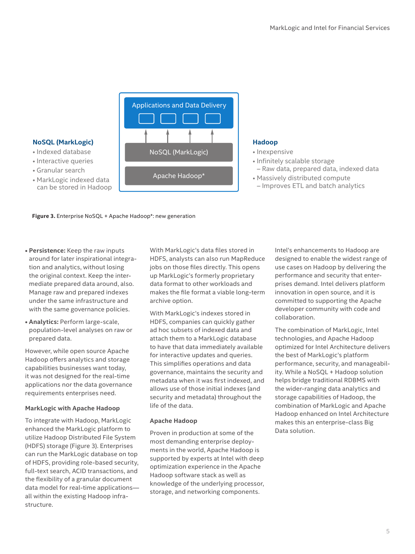

## **NoSQL (MarkLogic)**

- Indexed database
- Interactive queries
- Granular search
- MarkLogic indexed data can be stored in Hadoop

**Figure 3.** Enterprise NoSQL + Apache Hadoop\*: new generation

- **Persistence:** Keep the raw inputs around for later inspirational integration and analytics, without losing the original context. Keep the intermediate prepared data around, also. Manage raw and prepared indexes under the same infrastructure and with the same governance policies.
- **Analytics:** Perform large-scale, population-level analyses on raw or prepared data.

However, while open source Apache Hadoop offers analytics and storage capabilities businesses want today, it was not designed for the real-time applications nor the data governance requirements enterprises need.

## **MarkLogic with Apache Hadoop**

To integrate with Hadoop, MarkLogic enhanced the MarkLogic platform to utilize Hadoop Distributed File System (HDFS) storage (Figure 3). Enterprises can run the MarkLogic database on top of HDFS, providing role-based security, full-text search, ACID transactions, and the flexibility of a granular document data model for real-time applications all within the existing Hadoop infrastructure.

With MarkLogic's data files stored in HDFS, analysts can also run MapReduce jobs on those files directly. This opens up MarkLogic's formerly proprietary data format to other workloads and makes the file format a viable long-term archive option.

With MarkLogic's indexes stored in HDFS, companies can quickly gather ad hoc subsets of indexed data and attach them to a MarkLogic database to have that data immediately available for interactive updates and queries. This simplifies operations and data governance, maintains the security and metadata when it was first indexed, and allows use of those initial indexes (and security and metadata) throughout the life of the data.

## **Apache Hadoop**

Proven in production at some of the most demanding enterprise deployments in the world, Apache Hadoop is supported by experts at Intel with deep optimization experience in the Apache Hadoop software stack as well as knowledge of the underlying processor, storage, and networking components.

## **Hadoop**

- Inexpensive
- Infinitely scalable storage – Raw data, prepared data, indexed data
- Massively distributed compute – Improves ETL and batch analytics

Intel's enhancements to Hadoop are designed to enable the widest range of use cases on Hadoop by delivering the performance and security that enterprises demand. Intel delivers platform innovation in open source, and it is committed to supporting the Apache developer community with code and collaboration.

The combination of MarkLogic, Intel technologies, and Apache Hadoop optimized for Intel Architecture delivers the best of MarkLogic's platform performance, security, and manageability. While a NoSQL + Hadoop solution helps bridge traditional RDBMS with the wider-ranging data analytics and storage capabilities of Hadoop, the combination of MarkLogic and Apache Hadoop enhanced on Intel Architecture makes this an enterprise-class Big Data solution.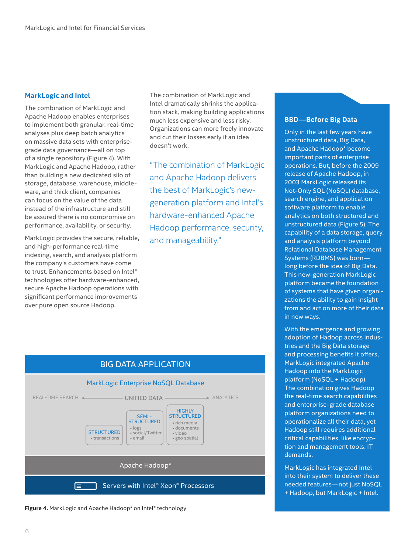## **MarkLogic and Intel**

The combination of MarkLogic and Apache Hadoop enables enterprises to implement both granular, real-time analyses plus deep batch analytics on massive data sets with enterprisegrade data governance—all on top of a single repository (Figure 4). With MarkLogic and Apache Hadoop, rather than building a new dedicated silo of storage, database, warehouse, middleware, and thick client, companies can focus on the value of the data instead of the infrastructure and still be assured there is no compromise on performance, availability, or security.

MarkLogic provides the secure, reliable, and high-performance real-time indexing, search, and analysis platform the company's customers have come to trust. Enhancements based on Intel® technologies offer hardware-enhanced, secure Apache Hadoop operations with significant performance improvements over pure open source Hadoop.

The combination of MarkLogic and Intel dramatically shrinks the application stack, making building applications much less expensive and less risky. Organizations can more freely innovate and cut their losses early if an idea doesn't work.

"The combination of MarkLogic and Apache Hadoop delivers the best of MarkLogic's newgeneration platform and Intel's hardware-enhanced Apache Hadoop performance, security, and manageability."

## BIG DATA APPLICATION



Figure 4. MarkLogic and Apache Hadoop\* on Intel® technology

## **BBD—Before Big Data**

Only in the last few years have unstructured data, Big Data, and Apache Hadoop\* become important parts of enterprise operations. But, before the 2009 release of Apache Hadoop, in 2003 MarkLogic released its Not-Only SQL (NoSQL) database, search engine, and application software platform to enable analytics on both structured and unstructured data (Figure 5). The capability of a data storage, query, and analysis platform beyond Relational Database Management Systems (RDBMS) was born long before the idea of Big Data. This new-generation MarkLogic platform became the foundation of systems that have given organizations the ability to gain insight from and act on more of their data in new ways.

With the emergence and growing adoption of Hadoop across industries and the Big Data storage and processing benefits it offers, MarkLogic integrated Apache Hadoop into the MarkLogic platform (NoSQL + Hadoop). The combination gives Hadoop the real-time search capabilities and enterprise-grade database platform organizations need to operationalize all their data, yet Hadoop still requires additional critical capabilities, like encryption and management tools, IT demands.

MarkLogic has integrated Intel into their system to deliver these needed features—not just NoSQL + Hadoop, but MarkLogic + Intel.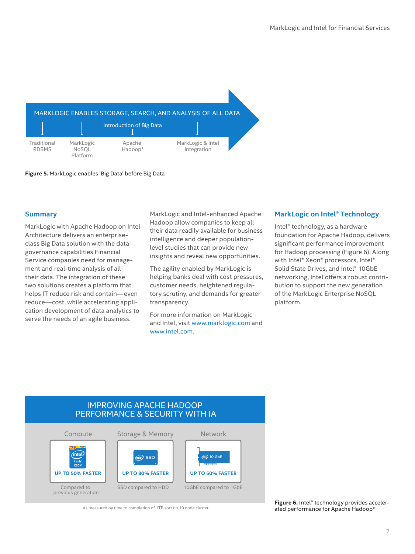

**Figure 5 .** MarkLogic enables 'Big Data' before Big Data

## **Summary**

MarkLogic with Apache Hadoop on Intel Architecture delivers an enterpriseclass Big Data solution with the data governance capabilities Financial Service companies need for management and real-time analysis of all their data. The integration of these two solutions creates a platform that helps IT reduce risk and contain—even reduce—cost, while accelerating application development of data analytics to serve the needs of an agile business.

MarkLogic and Intel-enhanced Apache Hadoop allow companies to keep all their data readily available for business intelligence and deeper populationlevel studies that can provide new insights and reveal new opportunities.

The agility enabled by MarkLogic is helping banks deal with cost pressures, customer needs, heightened regulatory scrutiny, and demands for greater transparency.

For more information on MarkLogic and Intel, visit www.marklogic.com and www.intel.com.

## **MarkLogic on Intel® Technology**

Intel® technology, as a hardware foundation for Apache Hadoop, delivers significant performance improvement for Hadoop processing (Figure 6). Along with Intel® Xeon® processors, Intel® Solid State Drives, and Intel® 10GbE networking, Intel offers a robust contribution to support the new generation of the MarkLogic Enterprise NoSQL platform.

## IMPROVING APACHE HADOOP PERFORMANCE & SECURITY WITH IA Network Storage & Memory Compute



As measured by time to completion of 1TB sort on 10 node cluster

Figure 6. Intel<sup>®</sup> technology provides accelerated performance for Apache Hadoop\*